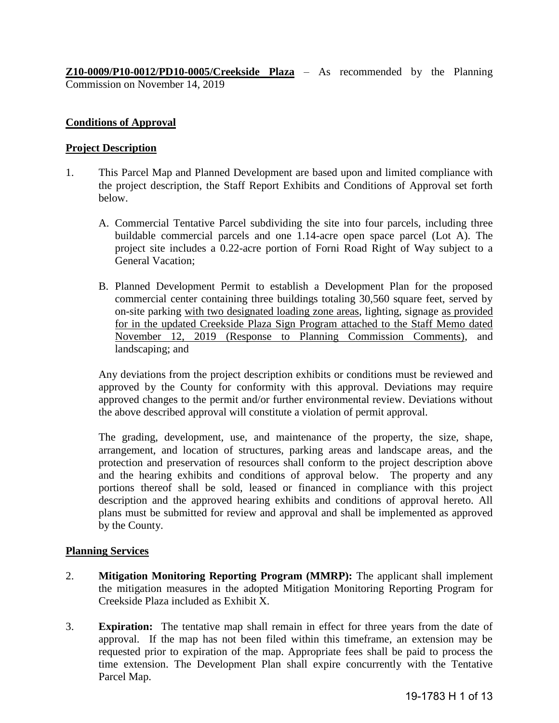**Z10-0009/P10-0012/PD10-0005/Creekside Plaza** – As recommended by the Planning Commission on November 14, 2019

## **Conditions of Approval**

#### **Project Description**

- 1. This Parcel Map and Planned Development are based upon and limited compliance with the project description, the Staff Report Exhibits and Conditions of Approval set forth below.
	- A. Commercial Tentative Parcel subdividing the site into four parcels, including three buildable commercial parcels and one 1.14-acre open space parcel (Lot A). The project site includes a 0.22-acre portion of Forni Road Right of Way subject to a General Vacation;
	- B. Planned Development Permit to establish a Development Plan for the proposed commercial center containing three buildings totaling 30,560 square feet, served by on-site parking with two designated loading zone areas, lighting, signage as provided for in the updated Creekside Plaza Sign Program attached to the Staff Memo dated November 12, 2019 (Response to Planning Commission Comments), and landscaping; and

 Any deviations from the project description exhibits or conditions must be reviewed and approved by the County for conformity with this approval. Deviations may require approved changes to the permit and/or further environmental review. Deviations without the above described approval will constitute a violation of permit approval.

The grading, development, use, and maintenance of the property, the size, shape, arrangement, and location of structures, parking areas and landscape areas, and the protection and preservation of resources shall conform to the project description above and the hearing exhibits and conditions of approval below. The property and any portions thereof shall be sold, leased or financed in compliance with this project description and the approved hearing exhibits and conditions of approval hereto. All plans must be submitted for review and approval and shall be implemented as approved by the County.

#### **Planning Services**

- 2. **Mitigation Monitoring Reporting Program (MMRP):** The applicant shall implement the mitigation measures in the adopted Mitigation Monitoring Reporting Program for Creekside Plaza included as Exhibit X.
- 3. **Expiration:** The tentative map shall remain in effect for three years from the date of approval. If the map has not been filed within this timeframe, an extension may be requested prior to expiration of the map. Appropriate fees shall be paid to process the time extension. The Development Plan shall expire concurrently with the Tentative Parcel Map.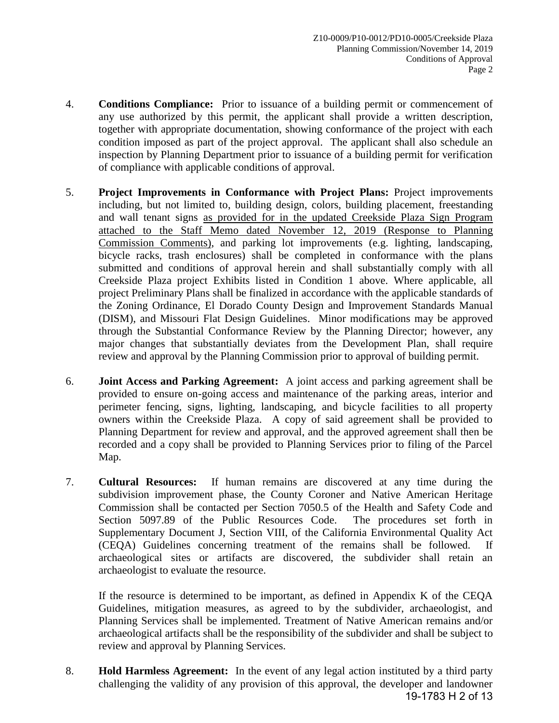- 4. **Conditions Compliance:** Prior to issuance of a building permit or commencement of any use authorized by this permit, the applicant shall provide a written description, together with appropriate documentation, showing conformance of the project with each condition imposed as part of the project approval. The applicant shall also schedule an inspection by Planning Department prior to issuance of a building permit for verification of compliance with applicable conditions of approval.
- 5. **Project Improvements in Conformance with Project Plans:** Project improvements including, but not limited to, building design, colors, building placement, freestanding and wall tenant signs as provided for in the updated Creekside Plaza Sign Program attached to the Staff Memo dated November 12, 2019 (Response to Planning Commission Comments), and parking lot improvements (e.g. lighting, landscaping, bicycle racks, trash enclosures) shall be completed in conformance with the plans submitted and conditions of approval herein and shall substantially comply with all Creekside Plaza project Exhibits listed in Condition 1 above. Where applicable, all project Preliminary Plans shall be finalized in accordance with the applicable standards of the Zoning Ordinance, El Dorado County Design and Improvement Standards Manual (DISM), and Missouri Flat Design Guidelines. Minor modifications may be approved through the Substantial Conformance Review by the Planning Director; however, any major changes that substantially deviates from the Development Plan, shall require review and approval by the Planning Commission prior to approval of building permit.
- 6. **Joint Access and Parking Agreement:** A joint access and parking agreement shall be provided to ensure on-going access and maintenance of the parking areas, interior and perimeter fencing, signs, lighting, landscaping, and bicycle facilities to all property owners within the Creekside Plaza. A copy of said agreement shall be provided to Planning Department for review and approval, and the approved agreement shall then be recorded and a copy shall be provided to Planning Services prior to filing of the Parcel Map.
- 7. **Cultural Resources:** If human remains are discovered at any time during the subdivision improvement phase, the County Coroner and Native American Heritage Commission shall be contacted per Section 7050.5 of the Health and Safety Code and Section 5097.89 of the Public Resources Code. The procedures set forth in Supplementary Document J, Section VIII, of the California Environmental Quality Act (CEQA) Guidelines concerning treatment of the remains shall be followed. If archaeological sites or artifacts are discovered, the subdivider shall retain an archaeologist to evaluate the resource.

If the resource is determined to be important, as defined in Appendix K of the CEQA Guidelines, mitigation measures, as agreed to by the subdivider, archaeologist, and Planning Services shall be implemented. Treatment of Native American remains and/or archaeological artifacts shall be the responsibility of the subdivider and shall be subject to review and approval by Planning Services.

8. **Hold Harmless Agreement:** In the event of any legal action instituted by a third party challenging the validity of any provision of this approval, the developer and landowner 19-1783 H 2 of 13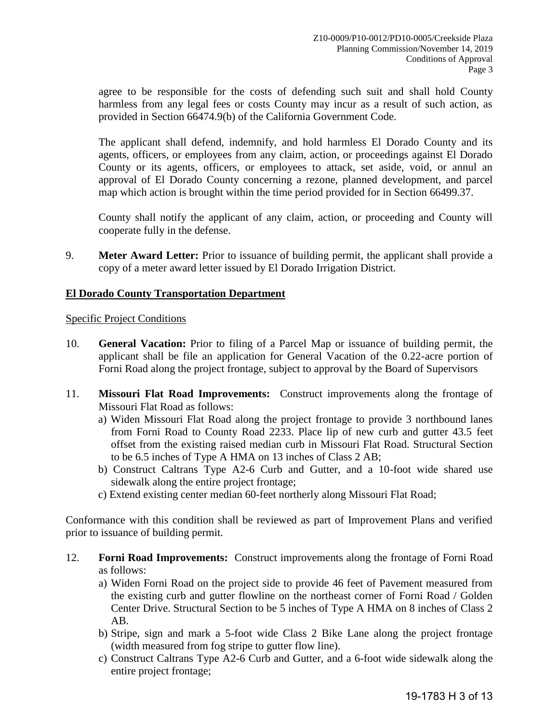agree to be responsible for the costs of defending such suit and shall hold County harmless from any legal fees or costs County may incur as a result of such action, as provided in Section 66474.9(b) of the California Government Code.

The applicant shall defend, indemnify, and hold harmless El Dorado County and its agents, officers, or employees from any claim, action, or proceedings against El Dorado County or its agents, officers, or employees to attack, set aside, void, or annul an approval of El Dorado County concerning a rezone, planned development, and parcel map which action is brought within the time period provided for in Section 66499.37.

County shall notify the applicant of any claim, action, or proceeding and County will cooperate fully in the defense.

9. **Meter Award Letter:** Prior to issuance of building permit, the applicant shall provide a copy of a meter award letter issued by El Dorado Irrigation District.

# **El Dorado County Transportation Department**

Specific Project Conditions

- 10. **General Vacation:** Prior to filing of a Parcel Map or issuance of building permit, the applicant shall be file an application for General Vacation of the 0.22-acre portion of Forni Road along the project frontage, subject to approval by the Board of Supervisors
- 11. **Missouri Flat Road Improvements:** Construct improvements along the frontage of Missouri Flat Road as follows:
	- a) Widen Missouri Flat Road along the project frontage to provide 3 northbound lanes from Forni Road to County Road 2233. Place lip of new curb and gutter 43.5 feet offset from the existing raised median curb in Missouri Flat Road. Structural Section to be 6.5 inches of Type A HMA on 13 inches of Class 2 AB;
	- b) Construct Caltrans Type A2-6 Curb and Gutter, and a 10-foot wide shared use sidewalk along the entire project frontage;
	- c) Extend existing center median 60-feet northerly along Missouri Flat Road;

Conformance with this condition shall be reviewed as part of Improvement Plans and verified prior to issuance of building permit.

- 12. **Forni Road Improvements:** Construct improvements along the frontage of Forni Road as follows:
	- a) Widen Forni Road on the project side to provide 46 feet of Pavement measured from the existing curb and gutter flowline on the northeast corner of Forni Road / Golden Center Drive. Structural Section to be 5 inches of Type A HMA on 8 inches of Class 2 AB.
	- b) Stripe, sign and mark a 5-foot wide Class 2 Bike Lane along the project frontage (width measured from fog stripe to gutter flow line).
	- c) Construct Caltrans Type A2-6 Curb and Gutter, and a 6-foot wide sidewalk along the entire project frontage;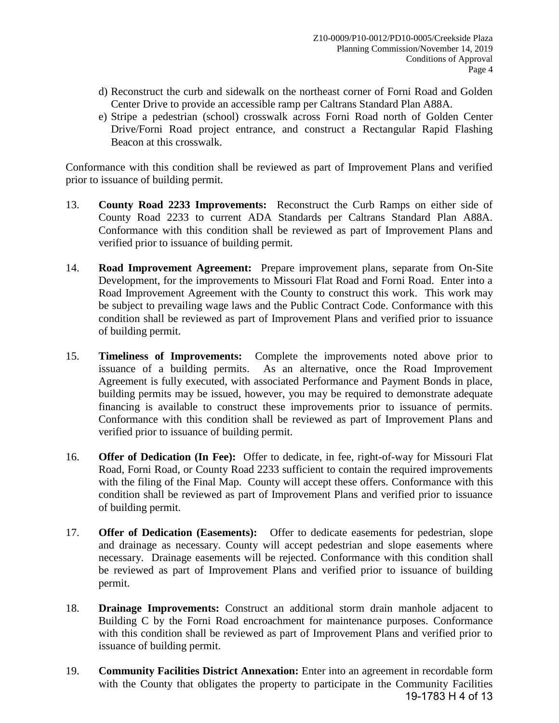- d) Reconstruct the curb and sidewalk on the northeast corner of Forni Road and Golden Center Drive to provide an accessible ramp per Caltrans Standard Plan A88A.
- e) Stripe a pedestrian (school) crosswalk across Forni Road north of Golden Center Drive/Forni Road project entrance, and construct a Rectangular Rapid Flashing Beacon at this crosswalk.

Conformance with this condition shall be reviewed as part of Improvement Plans and verified prior to issuance of building permit.

- 13. **County Road 2233 Improvements:** Reconstruct the Curb Ramps on either side of County Road 2233 to current ADA Standards per Caltrans Standard Plan A88A. Conformance with this condition shall be reviewed as part of Improvement Plans and verified prior to issuance of building permit.
- 14. **Road Improvement Agreement:** Prepare improvement plans, separate from On-Site Development, for the improvements to Missouri Flat Road and Forni Road. Enter into a Road Improvement Agreement with the County to construct this work. This work may be subject to prevailing wage laws and the Public Contract Code. Conformance with this condition shall be reviewed as part of Improvement Plans and verified prior to issuance of building permit.
- 15. **Timeliness of Improvements:** Complete the improvements noted above prior to issuance of a building permits. As an alternative, once the Road Improvement Agreement is fully executed, with associated Performance and Payment Bonds in place, building permits may be issued, however, you may be required to demonstrate adequate financing is available to construct these improvements prior to issuance of permits. Conformance with this condition shall be reviewed as part of Improvement Plans and verified prior to issuance of building permit.
- 16. **Offer of Dedication (In Fee):** Offer to dedicate, in fee, right-of-way for Missouri Flat Road, Forni Road, or County Road 2233 sufficient to contain the required improvements with the filing of the Final Map. County will accept these offers. Conformance with this condition shall be reviewed as part of Improvement Plans and verified prior to issuance of building permit.
- 17. **Offer of Dedication (Easements):** Offer to dedicate easements for pedestrian, slope and drainage as necessary. County will accept pedestrian and slope easements where necessary. Drainage easements will be rejected. Conformance with this condition shall be reviewed as part of Improvement Plans and verified prior to issuance of building permit.
- 18. **Drainage Improvements:** Construct an additional storm drain manhole adjacent to Building C by the Forni Road encroachment for maintenance purposes. Conformance with this condition shall be reviewed as part of Improvement Plans and verified prior to issuance of building permit.
- 19. **Community Facilities District Annexation:** Enter into an agreement in recordable form with the County that obligates the property to participate in the Community Facilities 19-1783 H 4 of 13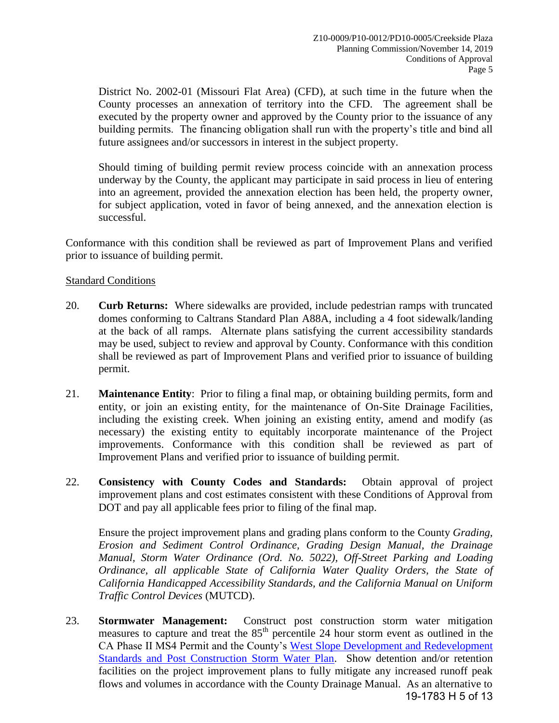District No. 2002-01 (Missouri Flat Area) (CFD), at such time in the future when the County processes an annexation of territory into the CFD. The agreement shall be executed by the property owner and approved by the County prior to the issuance of any building permits. The financing obligation shall run with the property's title and bind all future assignees and/or successors in interest in the subject property.

Should timing of building permit review process coincide with an annexation process underway by the County, the applicant may participate in said process in lieu of entering into an agreement, provided the annexation election has been held, the property owner, for subject application, voted in favor of being annexed, and the annexation election is successful.

 Conformance with this condition shall be reviewed as part of Improvement Plans and verified prior to issuance of building permit.

## Standard Conditions

- 20. **Curb Returns:** Where sidewalks are provided, include pedestrian ramps with truncated domes conforming to Caltrans Standard Plan A88A, including a 4 foot sidewalk/landing at the back of all ramps. Alternate plans satisfying the current accessibility standards may be used, subject to review and approval by County. Conformance with this condition shall be reviewed as part of Improvement Plans and verified prior to issuance of building permit.
- 21. **Maintenance Entity**: Prior to filing a final map, or obtaining building permits, form and entity, or join an existing entity, for the maintenance of On-Site Drainage Facilities, including the existing creek. When joining an existing entity, amend and modify (as necessary) the existing entity to equitably incorporate maintenance of the Project improvements. Conformance with this condition shall be reviewed as part of Improvement Plans and verified prior to issuance of building permit.
- 22. **Consistency with County Codes and Standards:** Obtain approval of project improvement plans and cost estimates consistent with these Conditions of Approval from DOT and pay all applicable fees prior to filing of the final map.

 Ensure the project improvement plans and grading plans conform to the County *Grading, Erosion and Sediment Control Ordinance, Grading Design Manual, the Drainage Manual, Storm Water Ordinance (Ord. No. 5022), Off-Street Parking and Loading Ordinance, all applicable State of California Water Quality Orders, the State of California Handicapped Accessibility Standards, and the California Manual on Uniform Traffic Control Devices* (MUTCD).

23. **Stormwater Management:** Construct post construction storm water mitigation measures to capture and treat the  $85<sup>th</sup>$  percentile 24 hour storm event as outlined in the CA Phase II MS4 Permit and the County's [West Slope Development and Redevelopment](http://www.edcgov.us/LongRangePlanning/StormWaterManagement/West_Slope_Development_and_Redevelopment_Standards.aspx)  [Standards and Post Construction Storm Water Plan.](http://www.edcgov.us/LongRangePlanning/StormWaterManagement/West_Slope_Development_and_Redevelopment_Standards.aspx) Show detention and/or retention facilities on the project improvement plans to fully mitigate any increased runoff peak flows and volumes in accordance with the County Drainage Manual. As an alternative to 19-1783 H 5 of 13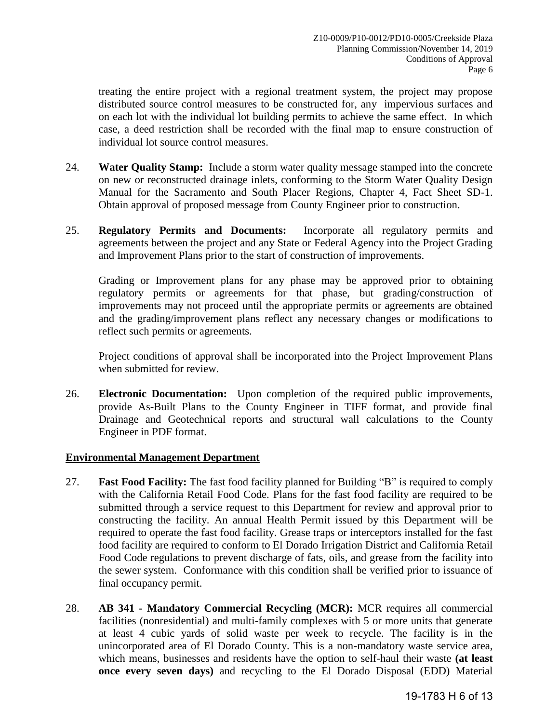treating the entire project with a regional treatment system, the project may propose distributed source control measures to be constructed for, any impervious surfaces and on each lot with the individual lot building permits to achieve the same effect. In which case, a deed restriction shall be recorded with the final map to ensure construction of individual lot source control measures.

- 24. **Water Quality Stamp:** Include a storm water quality message stamped into the concrete on new or reconstructed drainage inlets, conforming to the Storm Water Quality Design Manual for the Sacramento and South Placer Regions, Chapter 4, Fact Sheet SD-1. Obtain approval of proposed message from County Engineer prior to construction.
- 25. **Regulatory Permits and Documents:** Incorporate all regulatory permits and agreements between the project and any State or Federal Agency into the Project Grading and Improvement Plans prior to the start of construction of improvements.

Grading or Improvement plans for any phase may be approved prior to obtaining regulatory permits or agreements for that phase, but grading/construction of improvements may not proceed until the appropriate permits or agreements are obtained and the grading/improvement plans reflect any necessary changes or modifications to reflect such permits or agreements.

Project conditions of approval shall be incorporated into the Project Improvement Plans when submitted for review.

26. **Electronic Documentation:** Upon completion of the required public improvements, provide As-Built Plans to the County Engineer in TIFF format, and provide final Drainage and Geotechnical reports and structural wall calculations to the County Engineer in PDF format.

#### **Environmental Management Department**

- 27. **Fast Food Facility:** The fast food facility planned for Building "B" is required to comply with the California Retail Food Code. Plans for the fast food facility are required to be submitted through a service request to this Department for review and approval prior to constructing the facility. An annual Health Permit issued by this Department will be required to operate the fast food facility. Grease traps or interceptors installed for the fast food facility are required to conform to El Dorado Irrigation District and California Retail Food Code regulations to prevent discharge of fats, oils, and grease from the facility into the sewer system. Conformance with this condition shall be verified prior to issuance of final occupancy permit.
- 28. **AB 341 Mandatory Commercial Recycling (MCR):** MCR requires all commercial facilities (nonresidential) and multi-family complexes with 5 or more units that generate at least 4 cubic yards of solid waste per week to recycle. The facility is in the unincorporated area of El Dorado County. This is a non-mandatory waste service area, which means, businesses and residents have the option to self-haul their waste **(at least once every seven days)** and recycling to the El Dorado Disposal (EDD) Material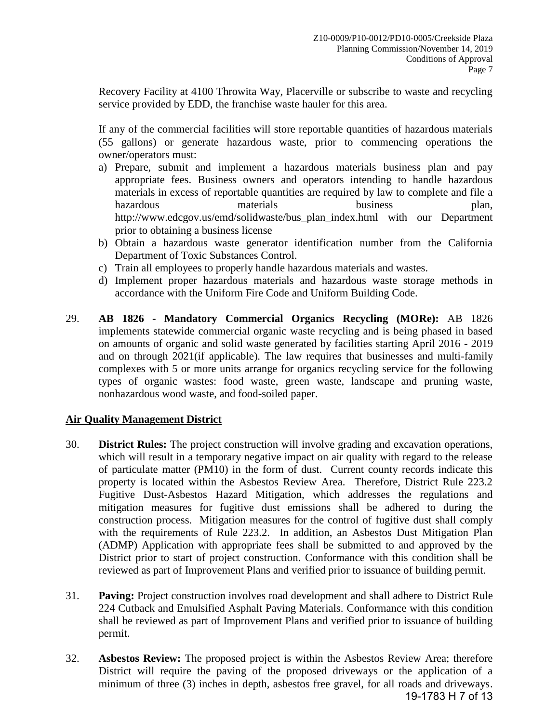Recovery Facility at 4100 Throwita Way, Placerville or subscribe to waste and recycling service provided by EDD, the franchise waste hauler for this area.

 If any of the commercial facilities will store reportable quantities of hazardous materials (55 gallons) or generate hazardous waste, prior to commencing operations the owner/operators must:

- a) Prepare, submit and implement a hazardous materials business plan and pay appropriate fees. Business owners and operators intending to handle hazardous materials in excess of reportable quantities are required by law to complete and file a hazardous materials business plan, http://www.edcgov.us/emd/solidwaste/bus\_plan\_index.html with our Department prior to obtaining a business license
- b) Obtain a hazardous waste generator identification number from the California Department of Toxic Substances Control.
- c) Train all employees to properly handle hazardous materials and wastes.
- d) Implement proper hazardous materials and hazardous waste storage methods in accordance with the Uniform Fire Code and Uniform Building Code.
- 29. **AB 1826 Mandatory Commercial Organics Recycling (MORe):** AB 1826 implements statewide commercial organic waste recycling and is being phased in based on amounts of organic and solid waste generated by facilities starting April 2016 - 2019 and on through 2021(if applicable). The law requires that businesses and multi-family complexes with 5 or more units arrange for organics recycling service for the following types of organic wastes: food waste, green waste, landscape and pruning waste, nonhazardous wood waste, and food-soiled paper.

# **Air Quality Management District**

- 30. **District Rules:** The project construction will involve grading and excavation operations, which will result in a temporary negative impact on air quality with regard to the release of particulate matter (PM10) in the form of dust. Current county records indicate this property is located within the Asbestos Review Area. Therefore, District Rule 223.2 Fugitive Dust-Asbestos Hazard Mitigation, which addresses the regulations and mitigation measures for fugitive dust emissions shall be adhered to during the construction process. Mitigation measures for the control of fugitive dust shall comply with the requirements of Rule 223.2. In addition, an Asbestos Dust Mitigation Plan (ADMP) Application with appropriate fees shall be submitted to and approved by the District prior to start of project construction. Conformance with this condition shall be reviewed as part of Improvement Plans and verified prior to issuance of building permit.
- 31. **Paving:** Project construction involves road development and shall adhere to District Rule 224 Cutback and Emulsified Asphalt Paving Materials. Conformance with this condition shall be reviewed as part of Improvement Plans and verified prior to issuance of building permit.
- 32. **Asbestos Review:** The proposed project is within the Asbestos Review Area; therefore District will require the paving of the proposed driveways or the application of a minimum of three (3) inches in depth, asbestos free gravel, for all roads and driveways. 19-1783 H 7 of 13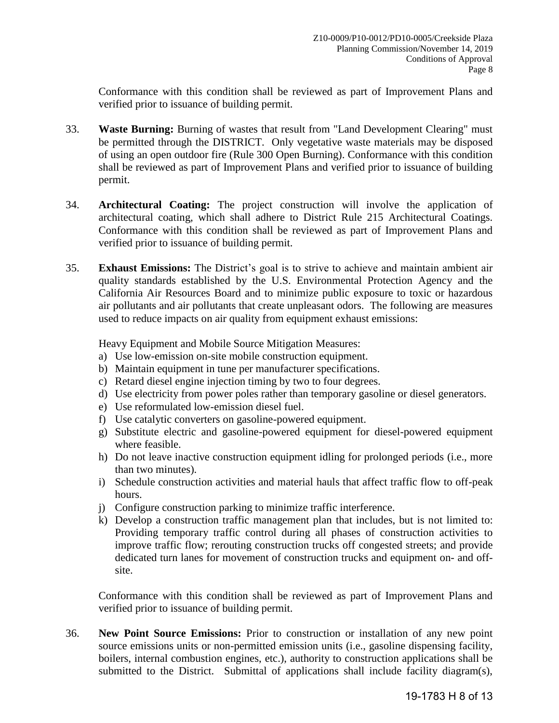Conformance with this condition shall be reviewed as part of Improvement Plans and verified prior to issuance of building permit.

- 33. **Waste Burning:** Burning of wastes that result from "Land Development Clearing" must be permitted through the DISTRICT. Only vegetative waste materials may be disposed of using an open outdoor fire (Rule 300 Open Burning). Conformance with this condition shall be reviewed as part of Improvement Plans and verified prior to issuance of building permit.
- 34. **Architectural Coating:** The project construction will involve the application of architectural coating, which shall adhere to District Rule 215 Architectural Coatings. Conformance with this condition shall be reviewed as part of Improvement Plans and verified prior to issuance of building permit.
- 35. **Exhaust Emissions:** The District's goal is to strive to achieve and maintain ambient air quality standards established by the U.S. Environmental Protection Agency and the California Air Resources Board and to minimize public exposure to toxic or hazardous air pollutants and air pollutants that create unpleasant odors. The following are measures used to reduce impacts on air quality from equipment exhaust emissions:

Heavy Equipment and Mobile Source Mitigation Measures:

- a) Use low-emission on-site mobile construction equipment.
- b) Maintain equipment in tune per manufacturer specifications.
- c) Retard diesel engine injection timing by two to four degrees.
- d) Use electricity from power poles rather than temporary gasoline or diesel generators.
- e) Use reformulated low-emission diesel fuel.
- f) Use catalytic converters on gasoline-powered equipment.
- g) Substitute electric and gasoline-powered equipment for diesel-powered equipment where feasible.
- h) Do not leave inactive construction equipment idling for prolonged periods (i.e., more than two minutes).
- i) Schedule construction activities and material hauls that affect traffic flow to off-peak hours.
- j) Configure construction parking to minimize traffic interference.
- k) Develop a construction traffic management plan that includes, but is not limited to: Providing temporary traffic control during all phases of construction activities to improve traffic flow; rerouting construction trucks off congested streets; and provide dedicated turn lanes for movement of construction trucks and equipment on- and offsite.

 Conformance with this condition shall be reviewed as part of Improvement Plans and verified prior to issuance of building permit.

36. **New Point Source Emissions:** Prior to construction or installation of any new point source emissions units or non-permitted emission units (i.e., gasoline dispensing facility, boilers, internal combustion engines, etc.), authority to construction applications shall be submitted to the District. Submittal of applications shall include facility diagram(s),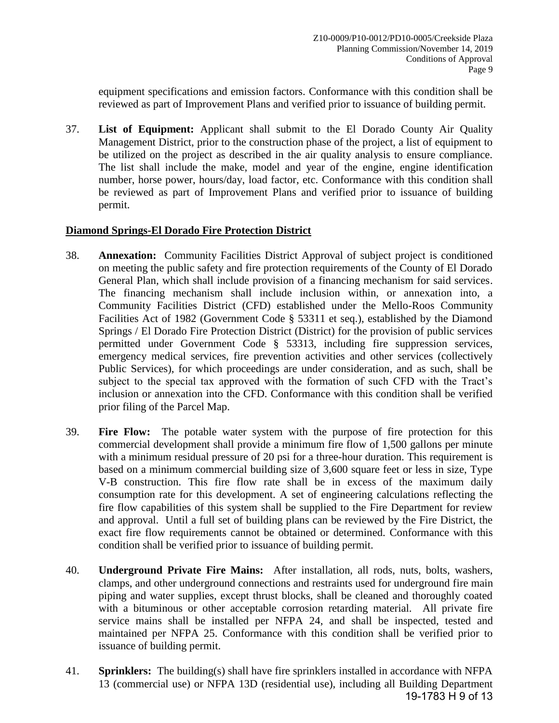equipment specifications and emission factors. Conformance with this condition shall be reviewed as part of Improvement Plans and verified prior to issuance of building permit.

37. **List of Equipment:** Applicant shall submit to the El Dorado County Air Quality Management District, prior to the construction phase of the project, a list of equipment to be utilized on the project as described in the air quality analysis to ensure compliance. The list shall include the make, model and year of the engine, engine identification number, horse power, hours/day, load factor, etc. Conformance with this condition shall be reviewed as part of Improvement Plans and verified prior to issuance of building permit.

# **Diamond Springs-El Dorado Fire Protection District**

- 38. **Annexation:** Community Facilities District Approval of subject project is conditioned on meeting the public safety and fire protection requirements of the County of El Dorado General Plan, which shall include provision of a financing mechanism for said services. The financing mechanism shall include inclusion within, or annexation into, a Community Facilities District (CFD) established under the Mello-Roos Community Facilities Act of 1982 (Government Code § 53311 et seq.), established by the Diamond Springs / El Dorado Fire Protection District (District) for the provision of public services permitted under Government Code § 53313, including fire suppression services, emergency medical services, fire prevention activities and other services (collectively Public Services), for which proceedings are under consideration, and as such, shall be subject to the special tax approved with the formation of such CFD with the Tract's inclusion or annexation into the CFD. Conformance with this condition shall be verified prior filing of the Parcel Map.
- 39. **Fire Flow:** The potable water system with the purpose of fire protection for this commercial development shall provide a minimum fire flow of 1,500 gallons per minute with a minimum residual pressure of 20 psi for a three-hour duration. This requirement is based on a minimum commercial building size of 3,600 square feet or less in size, Type V-B construction. This fire flow rate shall be in excess of the maximum daily consumption rate for this development. A set of engineering calculations reflecting the fire flow capabilities of this system shall be supplied to the Fire Department for review and approval. Until a full set of building plans can be reviewed by the Fire District, the exact fire flow requirements cannot be obtained or determined. Conformance with this condition shall be verified prior to issuance of building permit.
- 40. **Underground Private Fire Mains:** After installation, all rods, nuts, bolts, washers, clamps, and other underground connections and restraints used for underground fire main piping and water supplies, except thrust blocks, shall be cleaned and thoroughly coated with a bituminous or other acceptable corrosion retarding material. All private fire service mains shall be installed per NFPA 24, and shall be inspected, tested and maintained per NFPA 25. Conformance with this condition shall be verified prior to issuance of building permit.
- 41. **Sprinklers:** The building(s) shall have fire sprinklers installed in accordance with NFPA 13 (commercial use) or NFPA 13D (residential use), including all Building Department 19-1783 H 9 of 13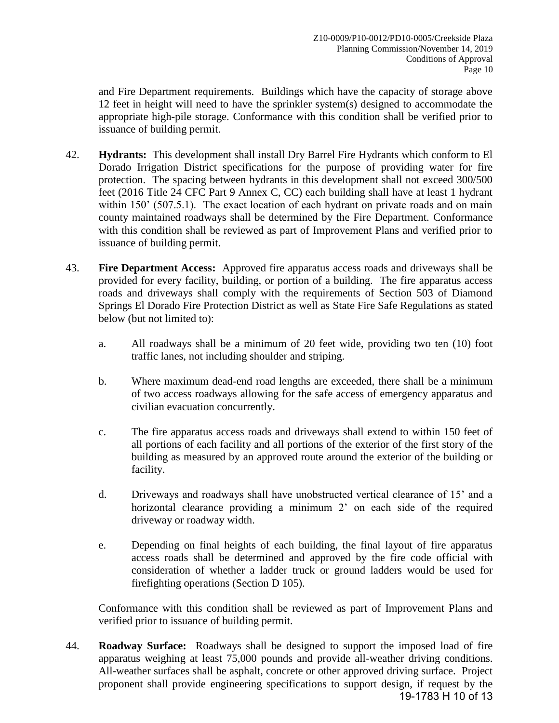and Fire Department requirements. Buildings which have the capacity of storage above 12 feet in height will need to have the sprinkler system(s) designed to accommodate the appropriate high-pile storage. Conformance with this condition shall be verified prior to issuance of building permit.

- 42. **Hydrants:** This development shall install Dry Barrel Fire Hydrants which conform to El Dorado Irrigation District specifications for the purpose of providing water for fire protection. The spacing between hydrants in this development shall not exceed 300/500 feet (2016 Title 24 CFC Part 9 Annex C, CC) each building shall have at least 1 hydrant within 150' (507.5.1). The exact location of each hydrant on private roads and on main county maintained roadways shall be determined by the Fire Department. Conformance with this condition shall be reviewed as part of Improvement Plans and verified prior to issuance of building permit.
- 43. **Fire Department Access:** Approved fire apparatus access roads and driveways shall be provided for every facility, building, or portion of a building. The fire apparatus access roads and driveways shall comply with the requirements of Section 503 of Diamond Springs El Dorado Fire Protection District as well as State Fire Safe Regulations as stated below (but not limited to):
	- a. All roadways shall be a minimum of 20 feet wide, providing two ten (10) foot traffic lanes, not including shoulder and striping.
	- b. Where maximum dead-end road lengths are exceeded, there shall be a minimum of two access roadways allowing for the safe access of emergency apparatus and civilian evacuation concurrently.
	- c. The fire apparatus access roads and driveways shall extend to within 150 feet of all portions of each facility and all portions of the exterior of the first story of the building as measured by an approved route around the exterior of the building or facility.
	- d. Driveways and roadways shall have unobstructed vertical clearance of 15' and a horizontal clearance providing a minimum 2' on each side of the required driveway or roadway width.
	- e. Depending on final heights of each building, the final layout of fire apparatus access roads shall be determined and approved by the fire code official with consideration of whether a ladder truck or ground ladders would be used for firefighting operations (Section D 105).

Conformance with this condition shall be reviewed as part of Improvement Plans and verified prior to issuance of building permit.

44. **Roadway Surface:** Roadways shall be designed to support the imposed load of fire apparatus weighing at least 75,000 pounds and provide all-weather driving conditions. All-weather surfaces shall be asphalt, concrete or other approved driving surface. Project proponent shall provide engineering specifications to support design, if request by the 19-1783 H 10 of 13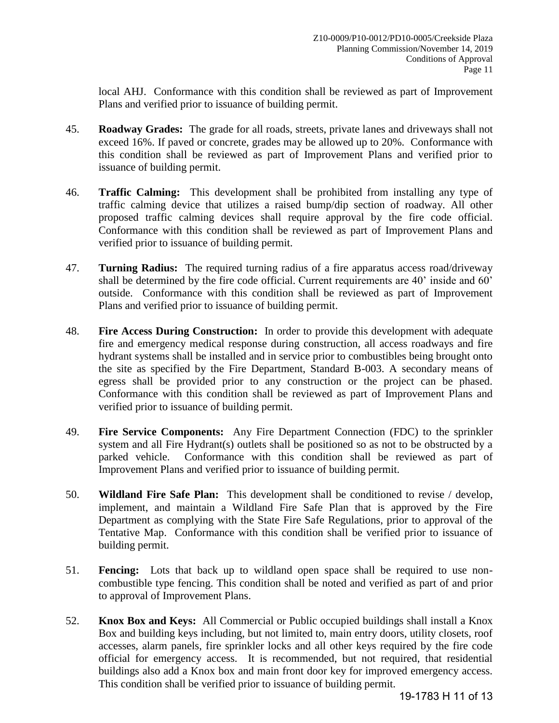local AHJ. Conformance with this condition shall be reviewed as part of Improvement Plans and verified prior to issuance of building permit.

- 45. **Roadway Grades:** The grade for all roads, streets, private lanes and driveways shall not exceed 16%. If paved or concrete, grades may be allowed up to 20%. Conformance with this condition shall be reviewed as part of Improvement Plans and verified prior to issuance of building permit.
- 46. **Traffic Calming:** This development shall be prohibited from installing any type of traffic calming device that utilizes a raised bump/dip section of roadway. All other proposed traffic calming devices shall require approval by the fire code official. Conformance with this condition shall be reviewed as part of Improvement Plans and verified prior to issuance of building permit.
- 47. **Turning Radius:** The required turning radius of a fire apparatus access road/driveway shall be determined by the fire code official. Current requirements are 40' inside and 60' outside. Conformance with this condition shall be reviewed as part of Improvement Plans and verified prior to issuance of building permit.
- 48. **Fire Access During Construction:** In order to provide this development with adequate fire and emergency medical response during construction, all access roadways and fire hydrant systems shall be installed and in service prior to combustibles being brought onto the site as specified by the Fire Department, Standard B-003. A secondary means of egress shall be provided prior to any construction or the project can be phased. Conformance with this condition shall be reviewed as part of Improvement Plans and verified prior to issuance of building permit.
- 49. **Fire Service Components:** Any Fire Department Connection (FDC) to the sprinkler system and all Fire Hydrant(s) outlets shall be positioned so as not to be obstructed by a parked vehicle. Conformance with this condition shall be reviewed as part of Improvement Plans and verified prior to issuance of building permit.
- 50. **Wildland Fire Safe Plan:** This development shall be conditioned to revise / develop, implement, and maintain a Wildland Fire Safe Plan that is approved by the Fire Department as complying with the State Fire Safe Regulations, prior to approval of the Tentative Map. Conformance with this condition shall be verified prior to issuance of building permit.
- 51. **Fencing:** Lots that back up to wildland open space shall be required to use noncombustible type fencing. This condition shall be noted and verified as part of and prior to approval of Improvement Plans.
- 52. **Knox Box and Keys:** All Commercial or Public occupied buildings shall install a Knox Box and building keys including, but not limited to, main entry doors, utility closets, roof accesses, alarm panels, fire sprinkler locks and all other keys required by the fire code official for emergency access. It is recommended, but not required, that residential buildings also add a Knox box and main front door key for improved emergency access. This condition shall be verified prior to issuance of building permit.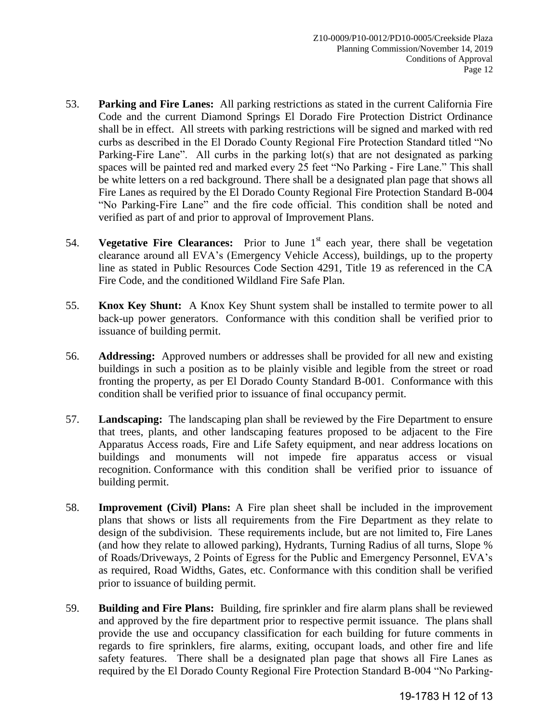- 53. **Parking and Fire Lanes:** All parking restrictions as stated in the current California Fire Code and the current Diamond Springs El Dorado Fire Protection District Ordinance shall be in effect. All streets with parking restrictions will be signed and marked with red curbs as described in the El Dorado County Regional Fire Protection Standard titled "No Parking-Fire Lane". All curbs in the parking lot(s) that are not designated as parking spaces will be painted red and marked every 25 feet "No Parking - Fire Lane." This shall be white letters on a red background. There shall be a designated plan page that shows all Fire Lanes as required by the El Dorado County Regional Fire Protection Standard B-004 "No Parking-Fire Lane" and the fire code official. This condition shall be noted and verified as part of and prior to approval of Improvement Plans.
- 54. **Vegetative Fire Clearances:** Prior to June 1<sup>st</sup> each year, there shall be vegetation clearance around all EVA's (Emergency Vehicle Access), buildings, up to the property line as stated in Public Resources Code Section 4291, Title 19 as referenced in the CA Fire Code, and the conditioned Wildland Fire Safe Plan.
- 55. **Knox Key Shunt:** A Knox Key Shunt system shall be installed to termite power to all back-up power generators. Conformance with this condition shall be verified prior to issuance of building permit.
- 56. **Addressing:** Approved numbers or addresses shall be provided for all new and existing buildings in such a position as to be plainly visible and legible from the street or road fronting the property, as per El Dorado County Standard B-001. Conformance with this condition shall be verified prior to issuance of final occupancy permit.
- 57. **Landscaping:** The landscaping plan shall be reviewed by the Fire Department to ensure that trees, plants, and other landscaping features proposed to be adjacent to the Fire Apparatus Access roads, Fire and Life Safety equipment, and near address locations on buildings and monuments will not impede fire apparatus access or visual recognition. Conformance with this condition shall be verified prior to issuance of building permit.
- 58. **Improvement (Civil) Plans:** A Fire plan sheet shall be included in the improvement plans that shows or lists all requirements from the Fire Department as they relate to design of the subdivision. These requirements include, but are not limited to, Fire Lanes (and how they relate to allowed parking), Hydrants, Turning Radius of all turns, Slope % of Roads/Driveways, 2 Points of Egress for the Public and Emergency Personnel, EVA's as required, Road Widths, Gates, etc. Conformance with this condition shall be verified prior to issuance of building permit.
- 59. **Building and Fire Plans:** Building, fire sprinkler and fire alarm plans shall be reviewed and approved by the fire department prior to respective permit issuance. The plans shall provide the use and occupancy classification for each building for future comments in regards to fire sprinklers, fire alarms, exiting, occupant loads, and other fire and life safety features. There shall be a designated plan page that shows all Fire Lanes as required by the El Dorado County Regional Fire Protection Standard B-004 "No Parking-